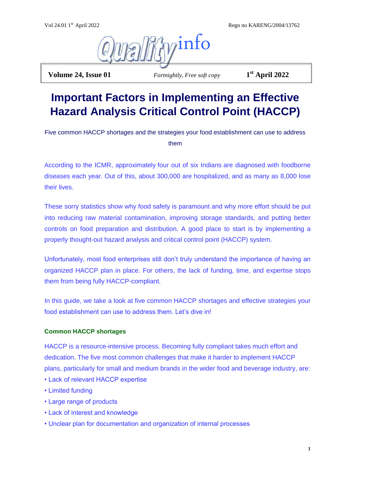Regn no KARENG/2004/13762



**Volume 24, Issue 01** *Fortnightly, Free soft copy* 

**st April 2022**

# **Important Factors in Implementing an Effective Hazard Analysis Critical Control Point (HACCP)**

Five common HACCP shortages and the strategies your food establishment can use to address them

According to the ICMR, approximately four out of six Indians are diagnosed with foodborne diseases each year. Out of this, about 300,000 are hospitalized, and as many as 8,000 lose their lives.

These sorry statistics show why food safety is paramount and why more effort should be put into reducing raw material contamination, improving storage standards, and putting better controls on food preparation and distribution. A good place to start is by implementing a properly thought-out hazard analysis and critical control point (HACCP) system.

Unfortunately, most food enterprises still don't truly understand the importance of having an organized HACCP plan in place. For others, the lack of funding, time, and expertise stops them from being fully HACCP-compliant.

In this guide, we take a look at five common HACCP shortages and effective strategies your food establishment can use to address them. Let's dive in!

# **Common HACCP shortages**

HACCP is a resource-intensive process. Becoming fully compliant takes much effort and dedication. The five most common challenges that make it harder to implement HACCP plans, particularly for small and medium brands in the wider food and beverage industry, are:

- Lack of relevant HACCP expertise
- Limited funding
- Large range of products
- Lack of interest and knowledge
- Unclear plan for documentation and organization of internal processes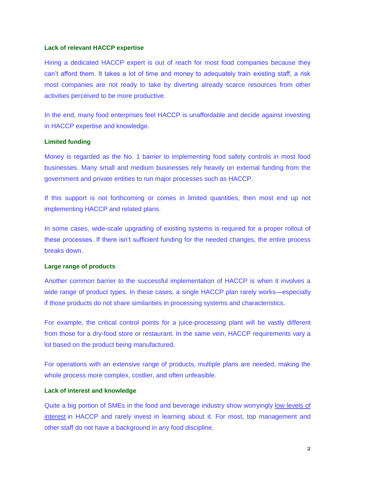# **Lack of relevant HACCP expertise**

Hiring a dedicated HACCP expert is out of reach for most food companies because they can't afford them. It takes a lot of time and money to adequately train existing staff, a risk most companies are not ready to take by diverting already scarce resources from other activities perceived to be more productive.

In the end, many food enterprises feel HACCP is unaffordable and decide against investing in HACCP expertise and knowledge.

# **Limited funding**

Money is regarded as the No. 1 barrier to implementing food safety controls in most food businesses. Many small and medium businesses rely heavily on external funding from the government and private entities to run major processes such as HACCP.

If this support is not forthcoming or comes in limited quantities, then most end up not implementing HACCP and related plans.

In some cases, wide-scale upgrading of existing systems is required for a proper rollout of these processes. If there isn't sufficient funding for the needed changes, the entire process breaks down.

#### **Large range of products**

Another common barrier to the successful implementation of HACCP is when it involves a wide range of product types. In these cases, a single HACCP plan rarely works—especially if those products do not share similarities in processing systems and characteristics.

For example, the critical control points for a juice-processing plant will be vastly different from those for a dry-food store or restaurant. In the same vein, HACCP requirements vary a lot based on the product being manufactured.

For operations with an extensive range of products, multiple plans are needed, making the whole process more complex, costlier, and often unfeasible.

# **Lack of interest and knowledge**

Quite a big portion of SMEs in the food and beverage industry show worryingly low levels of [interest](https://www.food-safety.com/articles/5544-small-or-very-small-new-rules-from-fsma-create-unique-challenges) in HACCP and rarely invest in learning about it. For most, top management and other staff do not have a background in any food discipline.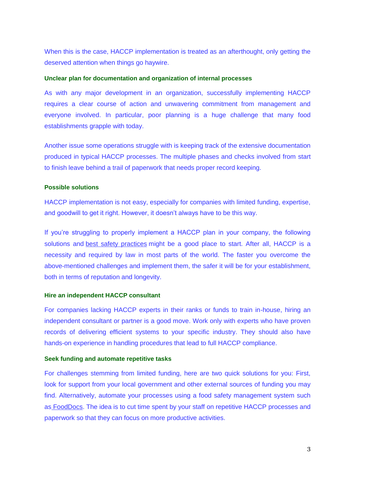When this is the case, HACCP implementation is treated as an afterthought, only getting the deserved attention when things go haywire.

#### **Unclear plan for documentation and organization of internal processes**

As with any major development in an organization, successfully implementing HACCP requires a clear course of action and unwavering commitment from management and everyone involved. In particular, poor planning is a huge challenge that many food establishments grapple with today.

Another issue some operations struggle with is keeping track of the extensive documentation produced in typical HACCP processes. The multiple phases and checks involved from start to finish leave behind a trail of paperwork that needs proper record keeping.

#### **Possible solutions**

HACCP implementation is not easy, especially for companies with limited funding, expertise, and goodwill to get it right. However, it doesn't always have to be this way.

If you're struggling to properly implement a HACCP plan in your company, the following solutions and [best safety practices](https://www.zoomshift.com/blog/restaurant-food-safety/) might be a good place to start. After all, HACCP is a necessity and required by law in most parts of the world. The faster you overcome the above-mentioned challenges and implement them, the safer it will be for your establishment, both in terms of reputation and longevity.

# **Hire an independent HACCP consultant**

For companies lacking HACCP experts in their ranks or funds to train in-house, hiring an independent consultant or partner is a good move. Work only with experts who have proven records of delivering efficient systems to your specific industry. They should also have hands-on experience in handling procedures that lead to full HACCP compliance.

# **Seek funding and automate repetitive tasks**

For challenges stemming from limited funding, here are two quick solutions for you: First, look for support from your local government and other external sources of funding you may find. Alternatively, automate your processes using a food safety management system such as [FoodDocs.](https://www.fooddocs.com/) The idea is to cut time spent by your staff on repetitive HACCP processes and paperwork so that they can focus on more productive activities.